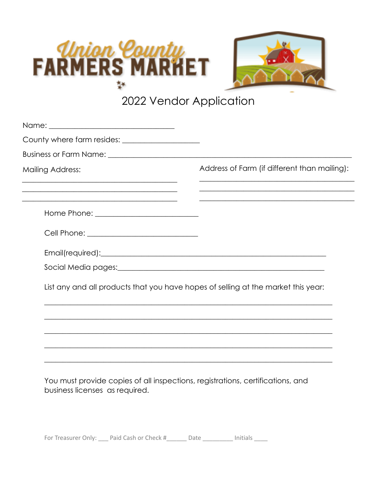



## 2022 Vendor Application

| <b>Mailing Address:</b>                                                                                                                                                                                                        | Address of Farm (if different than mailing):<br><u> 1989 - Johann John Stone, mars eta biztanleria (h. 1989).</u> |
|--------------------------------------------------------------------------------------------------------------------------------------------------------------------------------------------------------------------------------|-------------------------------------------------------------------------------------------------------------------|
| <u> 1989 - Johann Stoff, amerikansk politiker (d. 1989)</u><br><u> 1989 - Johann John Stoff, deutscher Stoffen und der Stoffen und der Stoffen und der Stoffen und der Stoffen u</u>                                           | <u> 1989 - Johann Stoff, amerikansk politiker (d. 1989)</u>                                                       |
| Cell Phone: ______________________________                                                                                                                                                                                     |                                                                                                                   |
| Email(required): example and a series of the series of the series of the series of the series of the series of the series of the series of the series of the series of the series of the series of the series of the series of |                                                                                                                   |
|                                                                                                                                                                                                                                |                                                                                                                   |
|                                                                                                                                                                                                                                | List any and all products that you have hopes of selling at the market this year:                                 |
|                                                                                                                                                                                                                                |                                                                                                                   |
|                                                                                                                                                                                                                                |                                                                                                                   |

You must provide copies ot all inspections, registrations, certifications, and business licenses as required.

For Treasurer Only: \_\_\_\_ Paid Cash or Check #\_\_\_\_\_\_\_\_ Date \_\_\_\_\_\_\_\_\_\_\_ Initials \_\_\_\_\_